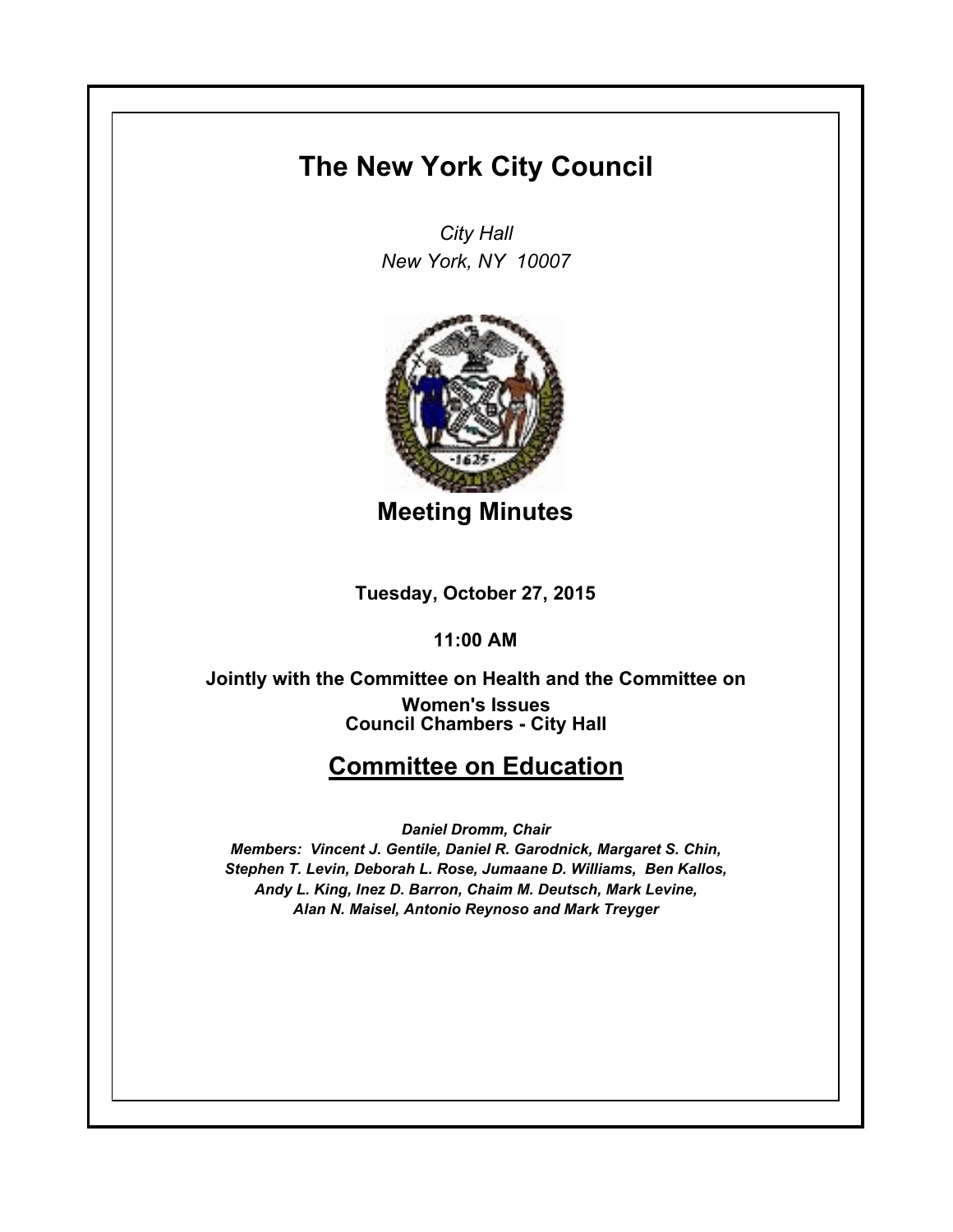## **The New York City Council**

*City Hall New York, NY 10007*



**Meeting Minutes**

**Tuesday, October 27, 2015**

**11:00 AM**

**Council Chambers - City Hall Jointly with the Committee on Health and the Committee on Women's Issues**

## **Committee on Education**

*Daniel Dromm, Chair*

*Members: Vincent J. Gentile, Daniel R. Garodnick, Margaret S. Chin, Stephen T. Levin, Deborah L. Rose, Jumaane D. Williams, Ben Kallos, Andy L. King, Inez D. Barron, Chaim M. Deutsch, Mark Levine, Alan N. Maisel, Antonio Reynoso and Mark Treyger*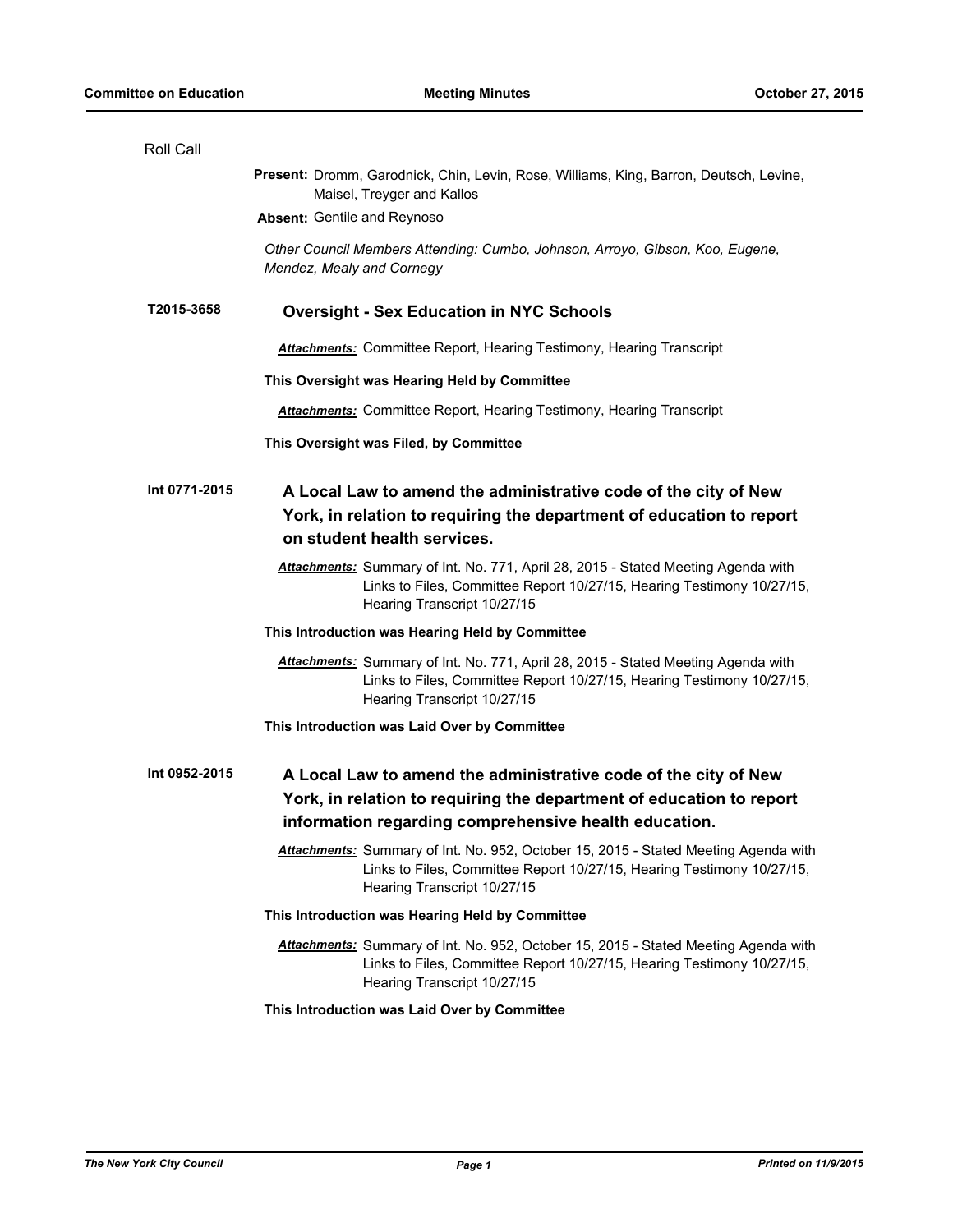| Roll Call     |                                                                                                                                                                                                  |
|---------------|--------------------------------------------------------------------------------------------------------------------------------------------------------------------------------------------------|
|               | Present: Dromm, Garodnick, Chin, Levin, Rose, Williams, King, Barron, Deutsch, Levine,<br>Maisel, Treyger and Kallos                                                                             |
|               | Absent: Gentile and Reynoso                                                                                                                                                                      |
|               | Other Council Members Attending: Cumbo, Johnson, Arroyo, Gibson, Koo, Eugene,<br>Mendez, Mealy and Cornegy                                                                                       |
| T2015-3658    | <b>Oversight - Sex Education in NYC Schools</b>                                                                                                                                                  |
|               | <b>Attachments:</b> Committee Report, Hearing Testimony, Hearing Transcript                                                                                                                      |
|               | This Oversight was Hearing Held by Committee                                                                                                                                                     |
|               | <b>Attachments:</b> Committee Report, Hearing Testimony, Hearing Transcript                                                                                                                      |
|               | This Oversight was Filed, by Committee                                                                                                                                                           |
| Int 0771-2015 | A Local Law to amend the administrative code of the city of New<br>York, in relation to requiring the department of education to report<br>on student health services.                           |
|               | Attachments: Summary of Int. No. 771, April 28, 2015 - Stated Meeting Agenda with<br>Links to Files, Committee Report 10/27/15, Hearing Testimony 10/27/15,<br>Hearing Transcript 10/27/15       |
|               | This Introduction was Hearing Held by Committee                                                                                                                                                  |
|               | Attachments: Summary of Int. No. 771, April 28, 2015 - Stated Meeting Agenda with<br>Links to Files, Committee Report 10/27/15, Hearing Testimony 10/27/15,<br>Hearing Transcript 10/27/15       |
|               | This Introduction was Laid Over by Committee                                                                                                                                                     |
| Int 0952-2015 | A Local Law to amend the administrative code of the city of New<br>York, in relation to requiring the department of education to report<br>information regarding comprehensive health education. |
|               | Attachments: Summary of Int. No. 952, October 15, 2015 - Stated Meeting Agenda with<br>Links to Files, Committee Report 10/27/15, Hearing Testimony 10/27/15,<br>Hearing Transcript 10/27/15     |
|               | This Introduction was Hearing Held by Committee                                                                                                                                                  |
|               | Attachments: Summary of Int. No. 952, October 15, 2015 - Stated Meeting Agenda with<br>Links to Files, Committee Report 10/27/15, Hearing Testimony 10/27/15,<br>Hearing Transcript 10/27/15     |
|               | This Introduction was Laid Over by Committee                                                                                                                                                     |